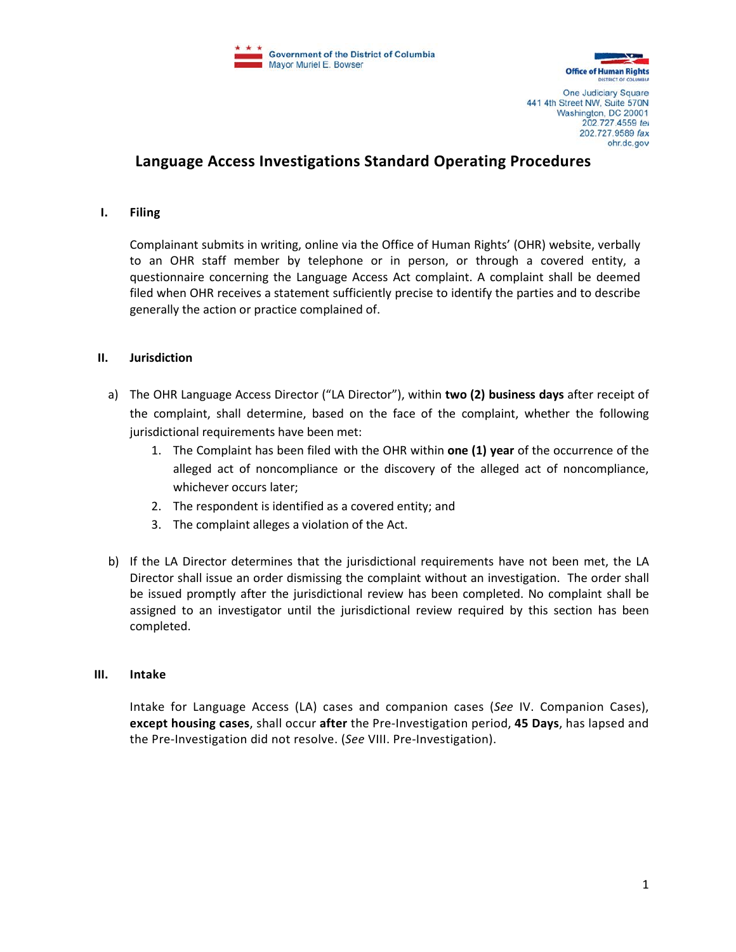



One Judiciary Square 441 4th Street NW, Suite 570N Washington, DC 20001 202.727.4559 tel 202.727.9589 fax ohr.dc.gov

# **Language Access Investigations Standard Operating Procedures**

### **I. Filing**

Complainant submits in writing, online via the Office of Human Rights' (OHR) website, verbally to an OHR staff member by telephone or in person, or through a covered entity, a questionnaire concerning the Language Access Act complaint. A complaint shall be deemed filed when OHR receives a statement sufficiently precise to identify the parties and to describe generally the action or practice complained of.

### **II. Jurisdiction**

- a) The OHR Language Access Director ("LA Director"), within **two (2) business days** after receipt of the complaint, shall determine, based on the face of the complaint, whether the following jurisdictional requirements have been met:
	- 1. The Complaint has been filed with the OHR within **one (1) year** of the occurrence of the alleged act of noncompliance or the discovery of the alleged act of noncompliance, whichever occurs later;
	- 2. The respondent is identified as a covered entity; and
	- 3. The complaint alleges a violation of the Act.
- b) If the LA Director determines that the jurisdictional requirements have not been met, the LA Director shall issue an order dismissing the complaint without an investigation. The order shall be issued promptly after the jurisdictional review has been completed. No complaint shall be assigned to an investigator until the jurisdictional review required by this section has been completed.

#### **III. Intake**

Intake for Language Access (LA) cases and companion cases (*See* IV. Companion Cases), **except housing cases**, shall occur **after** the Pre-Investigation period, **45 Days**, has lapsed and the Pre-Investigation did not resolve. (*See* VIII. Pre-Investigation).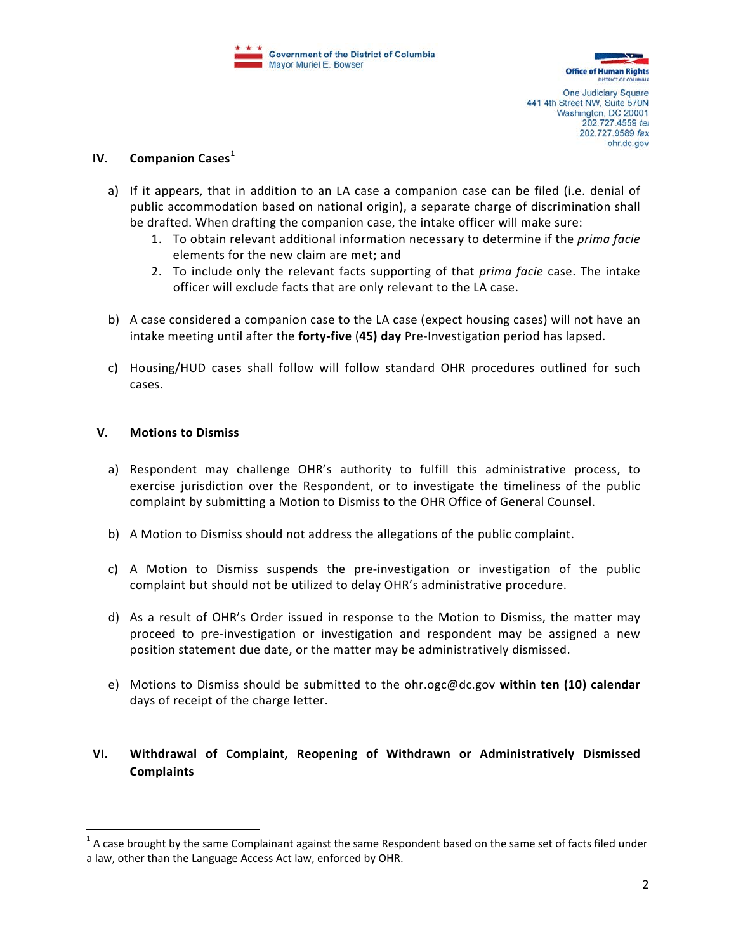

One Judiciary Square 441 4th Street NW, Suite 570N Washington, DC 20001 202.727.4559 tel 202.727.9589 fax ohr.dc.gov

## **IV. Companion Cases[1](#page-1-0)**

- a) If it appears, that in addition to an LA case a companion case can be filed (i.e. denial of public accommodation based on national origin), a separate charge of discrimination shall be drafted. When drafting the companion case, the intake officer will make sure:
	- 1. To obtain relevant additional information necessary to determine if the *prima facie* elements for the new claim are met; and
	- 2. To include only the relevant facts supporting of that *prima facie* case. The intake officer will exclude facts that are only relevant to the LA case.
- b) A case considered a companion case to the LA case (expect housing cases) will not have an intake meeting until after the **forty-five** (**45) day** Pre-Investigation period has lapsed.
- c) Housing/HUD cases shall follow will follow standard OHR procedures outlined for such cases.

## **V. Motions to Dismiss**

- a) Respondent may challenge OHR's authority to fulfill this administrative process, to exercise jurisdiction over the Respondent, or to investigate the timeliness of the public complaint by submitting a Motion to Dismiss to the OHR Office of General Counsel.
- b) A Motion to Dismiss should not address the allegations of the public complaint.
- c) A Motion to Dismiss suspends the pre-investigation or investigation of the public complaint but should not be utilized to delay OHR's administrative procedure.
- d) As a result of OHR's Order issued in response to the Motion to Dismiss, the matter may proceed to pre-investigation or investigation and respondent may be assigned a new position statement due date, or the matter may be administratively dismissed.
- e) Motions to Dismiss should be submitted to the ohr.ogc@dc.gov **within ten (10) calendar** days of receipt of the charge letter.

# **VI. Withdrawal of Complaint, Reopening of Withdrawn or Administratively Dismissed Complaints**

<span id="page-1-0"></span> $1$  A case brought by the same Complainant against the same Respondent based on the same set of facts filed under a law, other than the Language Access Act law, enforced by OHR.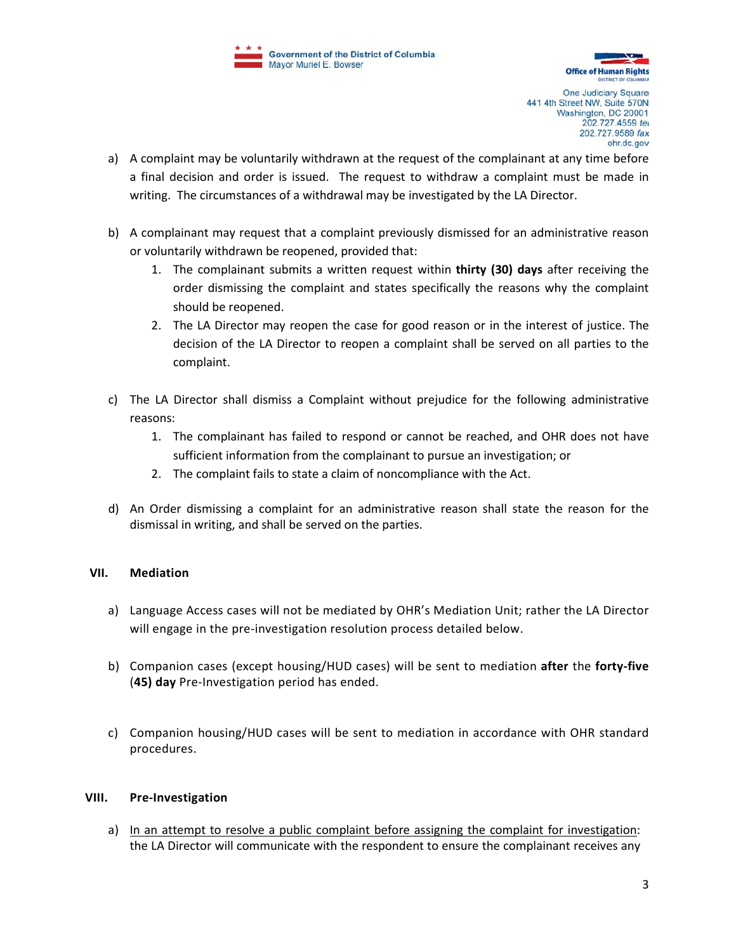

One Judiciary Square 441 4th Street NW, Suite 570N Washington, DC 20001 202.727.4559 tex 202.727.9589 fax ohr.dc.gov

- a) A complaint may be voluntarily withdrawn at the request of the complainant at any time before a final decision and order is issued. The request to withdraw a complaint must be made in writing. The circumstances of a withdrawal may be investigated by the LA Director.
- b) A complainant may request that a complaint previously dismissed for an administrative reason or voluntarily withdrawn be reopened, provided that:
	- 1. The complainant submits a written request within **thirty (30) days** after receiving the order dismissing the complaint and states specifically the reasons why the complaint should be reopened.
	- 2. The LA Director may reopen the case for good reason or in the interest of justice. The decision of the LA Director to reopen a complaint shall be served on all parties to the complaint.
- c) The LA Director shall dismiss a Complaint without prejudice for the following administrative reasons:
	- 1. The complainant has failed to respond or cannot be reached, and OHR does not have sufficient information from the complainant to pursue an investigation; or
	- 2. The complaint fails to state a claim of noncompliance with the Act.
- d) An Order dismissing a complaint for an administrative reason shall state the reason for the dismissal in writing, and shall be served on the parties.

# **VII. Mediation**

- a) Language Access cases will not be mediated by OHR's Mediation Unit; rather the LA Director will engage in the pre-investigation resolution process detailed below.
- b) Companion cases (except housing/HUD cases) will be sent to mediation **after** the **forty-five**  (**45) day** Pre-Investigation period has ended.
- c) Companion housing/HUD cases will be sent to mediation in accordance with OHR standard procedures.

## **VIII. Pre-Investigation**

a) In an attempt to resolve a public complaint before assigning the complaint for investigation: the LA Director will communicate with the respondent to ensure the complainant receives any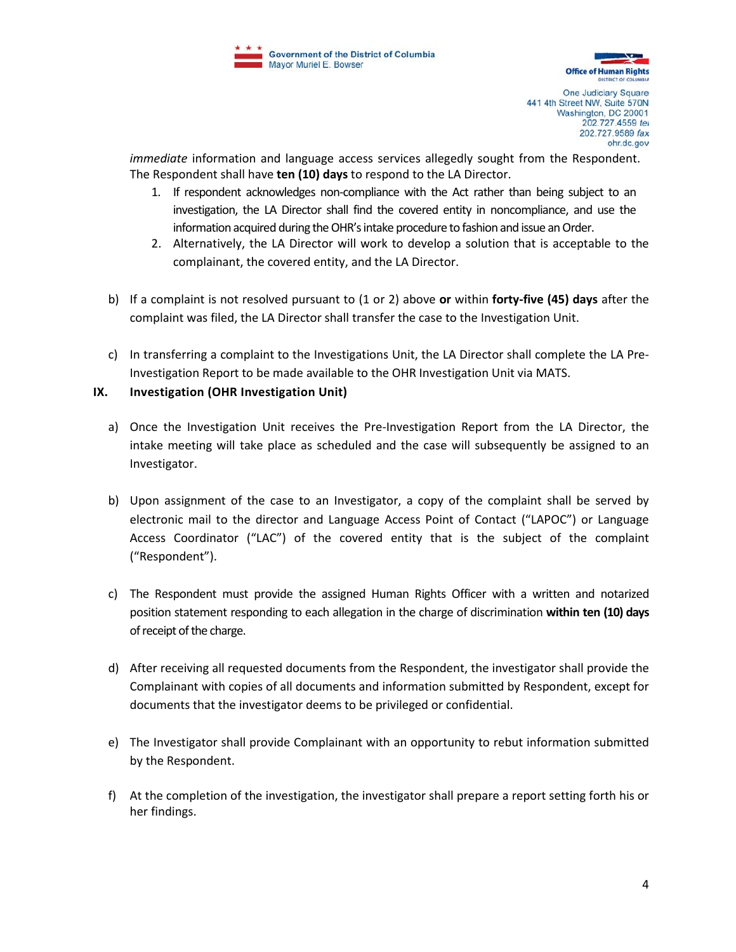

One Judiciary Square 441 4th Street NW, Suite 570N Washington, DC 20001 202.727.4559 tex 202.727.9589 fax ohr.dc.gov

*immediate* information and language access services allegedly sought from the Respondent. The Respondent shall have **ten (10) days** to respond to the LA Director.

- 1. If respondent acknowledges non-compliance with the Act rather than being subject to an investigation, the LA Director shall find the covered entity in noncompliance, and use the information acquired during the OHR's intake procedure to fashion and issue an Order.
- 2. Alternatively, the LA Director will work to develop a solution that is acceptable to the complainant, the covered entity, and the LA Director.
- b) If a complaint is not resolved pursuant to (1 or 2) above **or** within **forty-five (45) days** after the complaint was filed, the LA Director shall transfer the case to the Investigation Unit.
- c) In transferring a complaint to the Investigations Unit, the LA Director shall complete the LA Pre-Investigation Report to be made available to the OHR Investigation Unit via MATS.

# **IX. Investigation (OHR Investigation Unit)**

- a) Once the Investigation Unit receives the Pre-Investigation Report from the LA Director, the intake meeting will take place as scheduled and the case will subsequently be assigned to an Investigator.
- b) Upon assignment of the case to an Investigator, a copy of the complaint shall be served by electronic mail to the director and Language Access Point of Contact ("LAPOC") or Language Access Coordinator ("LAC") of the covered entity that is the subject of the complaint ("Respondent").
- c) The Respondent must provide the assigned Human Rights Officer with a written and notarized position statement responding to each allegation in the charge of discrimination **within ten (10) days** of receipt of the charge.
- d) After receiving all requested documents from the Respondent, the investigator shall provide the Complainant with copies of all documents and information submitted by Respondent, except for documents that the investigator deems to be privileged or confidential.
- e) The Investigator shall provide Complainant with an opportunity to rebut information submitted by the Respondent.
- f) At the completion of the investigation, the investigator shall prepare a report setting forth his or her findings.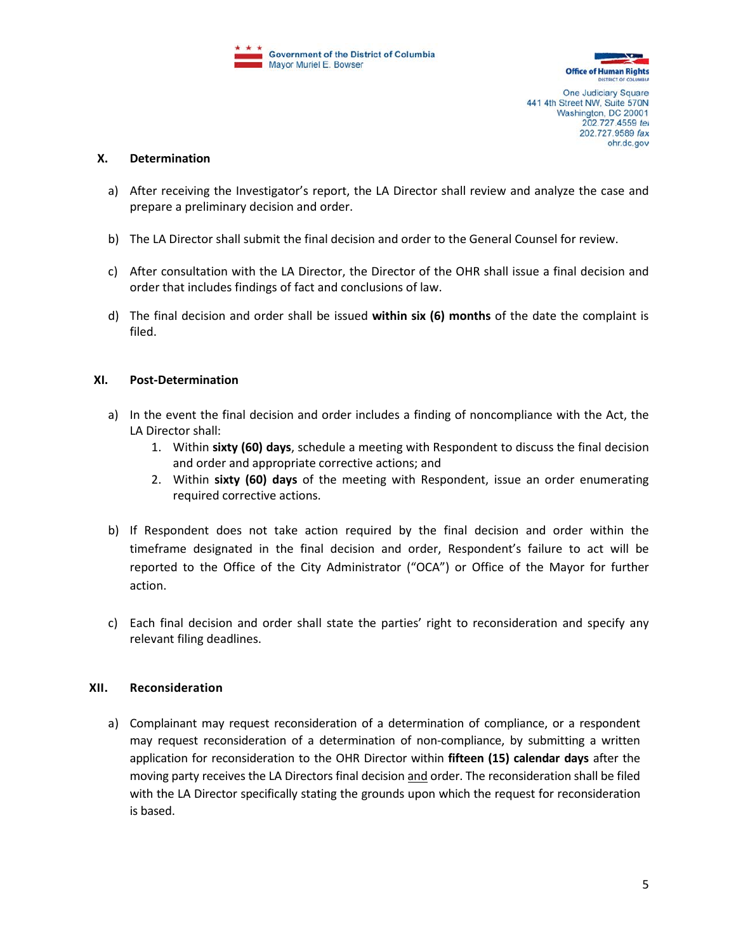



One Judiciary Square 441 4th Street NW, Suite 570N Washington, DC 20001 202.727.4559 tel 202.727.9589 fax ohr.dc.gov

### **X. Determination**

- a) After receiving the Investigator's report, the LA Director shall review and analyze the case and prepare a preliminary decision and order.
- b) The LA Director shall submit the final decision and order to the General Counsel for review.
- c) After consultation with the LA Director, the Director of the OHR shall issue a final decision and order that includes findings of fact and conclusions of law.
- d) The final decision and order shall be issued **within six (6) months** of the date the complaint is filed.

## **XI. Post-Determination**

- a) In the event the final decision and order includes a finding of noncompliance with the Act, the LA Director shall:
	- 1. Within **sixty (60) days**, schedule a meeting with Respondent to discuss the final decision and order and appropriate corrective actions; and
	- 2. Within **sixty (60) days** of the meeting with Respondent, issue an order enumerating required corrective actions.
- b) If Respondent does not take action required by the final decision and order within the timeframe designated in the final decision and order, Respondent's failure to act will be reported to the Office of the City Administrator ("OCA") or Office of the Mayor for further action.
- c) Each final decision and order shall state the parties' right to reconsideration and specify any relevant filing deadlines.

## **XII. Reconsideration**

a) Complainant may request reconsideration of a determination of compliance, or a respondent may request reconsideration of a determination of non-compliance, by submitting a written application for reconsideration to the OHR Director within **fifteen (15) calendar days** after the moving party receives the LA Directors final decision and order. The reconsideration shall be filed with the LA Director specifically stating the grounds upon which the request for reconsideration is based.